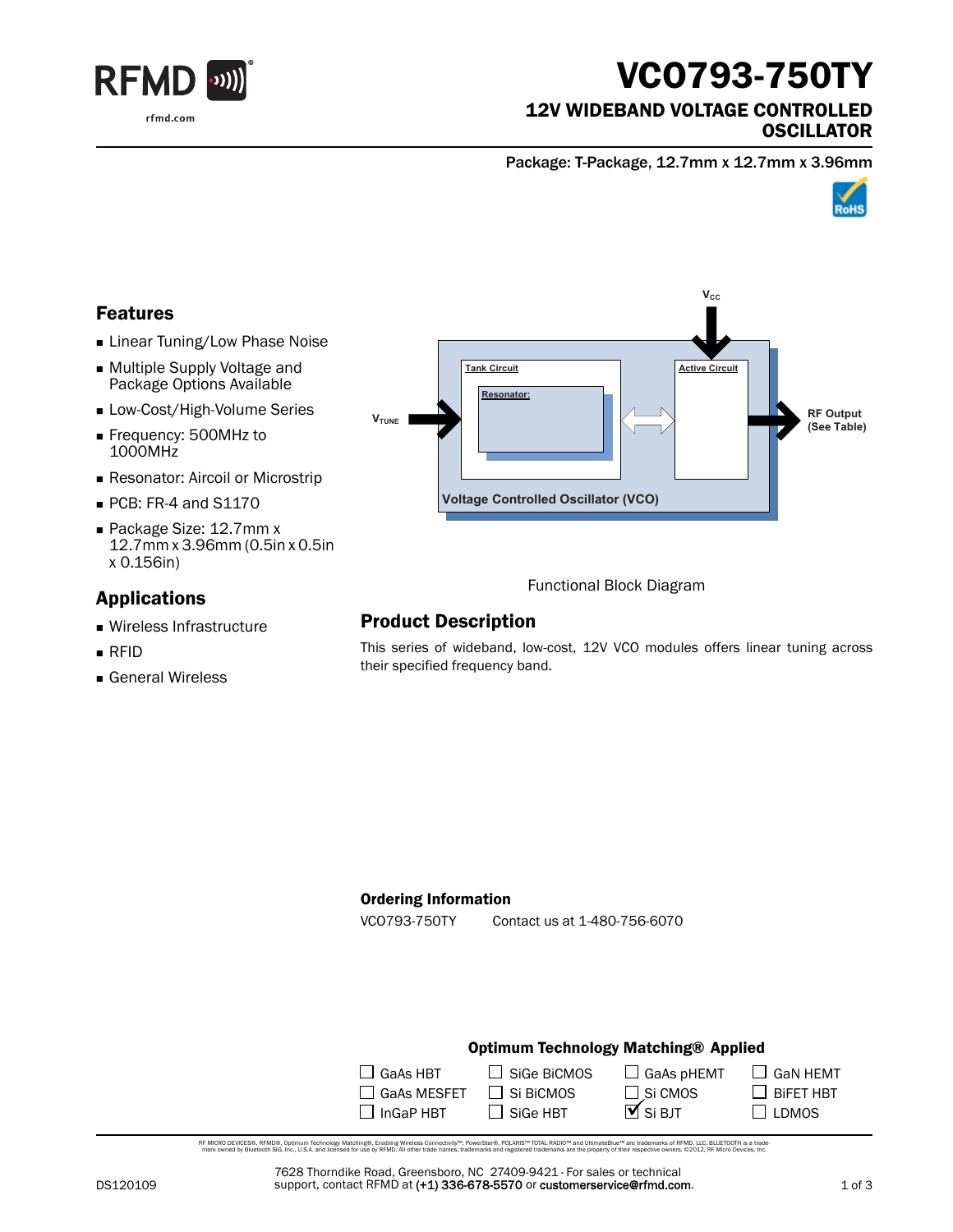

# VCO793-750TY

### 12V WIDEBAND VOLTAGE CONTROLLED **OSCILLATOR**

Package: T-Package, 12.7mm x 12.7mm x 3.96mm



## Features

- **Linear Tuning/Low Phase Noise**
- Multiple Supply Voltage and Package Options Available
- **Low-Cost/High-Volume Series**
- Frequency: 500MHz to 1000MHz
- **Resonator: Aircoil or Microstrip**
- PCB: FR-4 and S1170
- Package Size: 12.7mm x 12.7mm x 3.96mm (0.5in x 0.5in x 0.156in)

## Applications

- Wireless Infrastructure
- RFID
- General Wireless



Functional Block Diagram

## Product Description

This series of wideband, low-cost, 12V VCO modules offers linear tuning across their specified frequency band.

#### Ordering Information

VCO793-750TY Contact us at 1-480-756-6070

#### Optimum Technology Matching® Applied

| $\Box$ GaAs HBT    | $\Box$ SiGe BiCMOS | $\Box$ GaAs pHEMT     |
|--------------------|--------------------|-----------------------|
| $\Box$ GaAs MESFET | $\Box$ Si BiCMOS   | $\Box$ Si CMOS        |
| $\Box$ InGaP HBT   | $\Box$ Sige HBT    | $\overline{M}$ Si BJT |

RF MCRO DEVCES®, RFMD®, Optimum Technology Matching®, Erabling Wireless Connectivity™, PowerStar®, POLARIS™ TOTAL RADIO™ and UltimateBlue™ are trademarks of RFMD, LLC. BLUETOOTH is a trade<br>… mark owned by Bluetooth SIG, i

7628 Thorndike Road, Greensboro, NC 27409-9421 · For sales or technical support, contact RFMD at (+1) 336-678-5570 or customerservice@rfmd.com.  $\Box$  GaN HEMT

 $\Box$  BiFET HBT  $\square$  LDMOS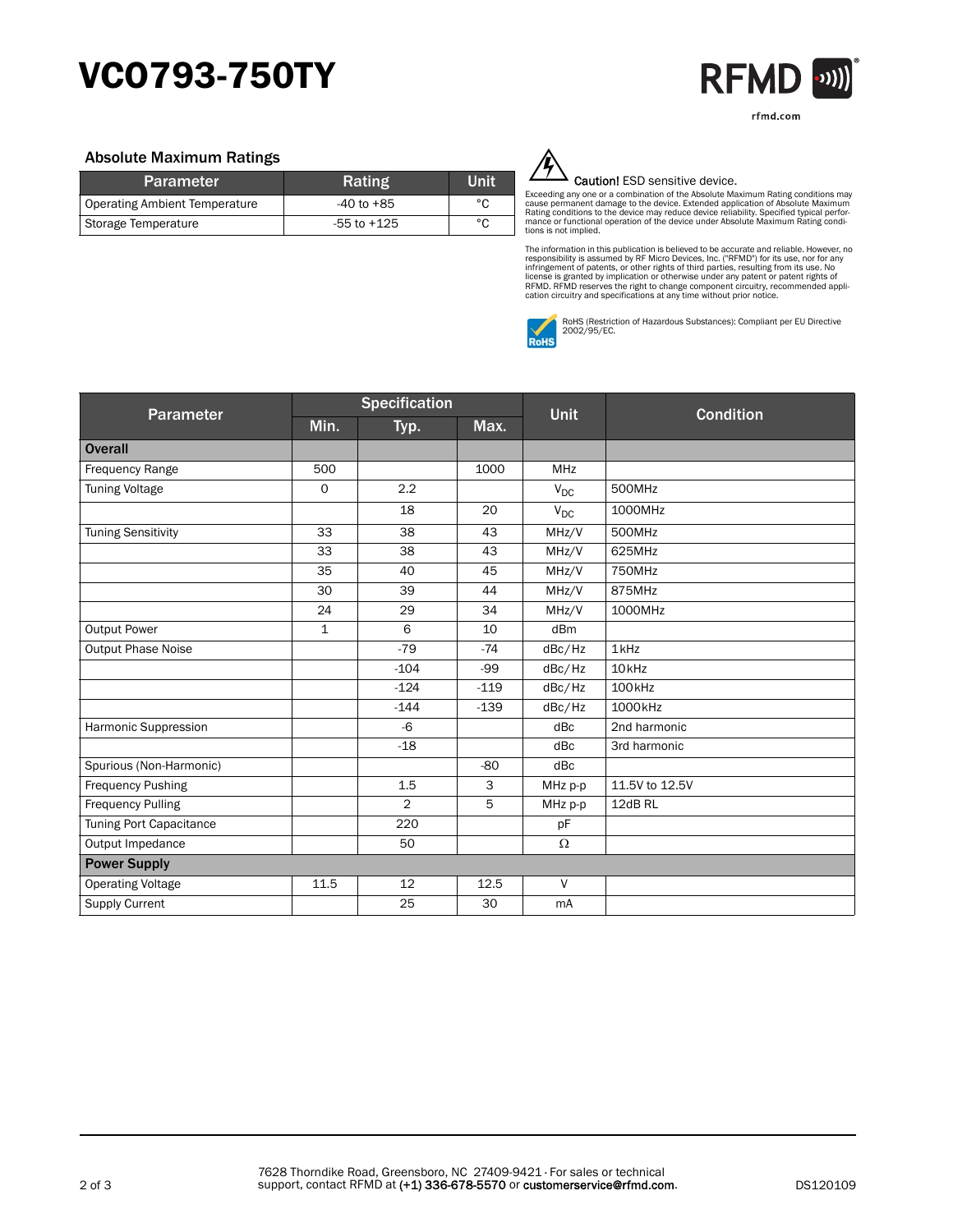## VCO793-750TY



#### Absolute Maximum Ratings

| <b>Parameter</b>              | Rating          | Unit |
|-------------------------------|-----------------|------|
| Operating Ambient Temperature | $-40$ to $+85$  | °C   |
| Storage Temperature           | $-55$ to $+125$ | °C   |



#### Caution! ESD sensitive device.

Exceeding any one or a combination of the Absolute Maximum Rating conditions may<br>cause permanent damage to the device. Extended application of Absolute Maximum<br>Rating conditions to the device may reduce device reliability. tions is not implied.

The information in this publication is believed to be accurate and reliable. However, no<br>responsibility is assumed by RF Micro Devices, Inc. ("RFMD") for its use, nor for any<br>infringement of patents, or other rights of thi



RoHS (Restriction of Hazardous Substances): Compliant per EU Directive 2002/95/EC.

| <b>Parameter</b>          | <b>Specification</b> |                |        |             |                    |
|---------------------------|----------------------|----------------|--------|-------------|--------------------|
|                           | Min.                 | Typ.           | Max.   | <b>Unit</b> | <b>Condition</b>   |
| <b>Overall</b>            |                      |                |        |             |                    |
| Frequency Range           | 500                  |                | 1000   | <b>MHz</b>  |                    |
| <b>Tuning Voltage</b>     | $\mathbf 0$          | 2.2            |        | $V_{DC}$    | 500MHz             |
|                           |                      | 18             | 20     | $V_{DC}$    | 1000MHz            |
| <b>Tuning Sensitivity</b> | 33                   | 38             | 43     | MHz/V       | 500MHz             |
|                           | 33                   | 38             | 43     | MHz/V       | 625MHz             |
|                           | 35                   | 40             | 45     | MHz/V       | 750MHz             |
|                           | 30                   | 39             | 44     | MHz/V       | 875MHz             |
|                           | 24                   | 29             | 34     | MHz/V       | 1000MHz            |
| <b>Output Power</b>       | $\mathbf{1}$         | 6              | 10     | dBm         |                    |
| <b>Output Phase Noise</b> |                      | $-79$          | $-74$  | dBc/Hz      | 1 <sub>kHz</sub>   |
|                           |                      | $-104$         | $-99$  | dBc/Hz      | 10 <sub>kHz</sub>  |
|                           |                      | $-124$         | $-119$ | dBc/Hz      | 100 <sub>kHz</sub> |
|                           |                      | $-144$         | $-139$ | dBc/Hz      | 1000kHz            |
| Harmonic Suppression      |                      | $-6$           |        | dBc         | 2nd harmonic       |
|                           |                      | $-18$          |        | dBc         | 3rd harmonic       |
| Spurious (Non-Harmonic)   |                      |                | $-80$  | dBc         |                    |
| <b>Frequency Pushing</b>  |                      | 1.5            | 3      | MHz p-p     | 11.5V to 12.5V     |
| <b>Frequency Pulling</b>  |                      | $\overline{2}$ | 5      | MHz p-p     | 12dB RL            |
| Tuning Port Capacitance   |                      | 220            |        | pF          |                    |
| Output Impedance          |                      | 50             |        | $\Omega$    |                    |
| <b>Power Supply</b>       |                      |                |        |             |                    |
| <b>Operating Voltage</b>  | 11.5                 | 12             | 12.5   | $\vee$      |                    |
| <b>Supply Current</b>     |                      | 25             | 30     | mA          |                    |